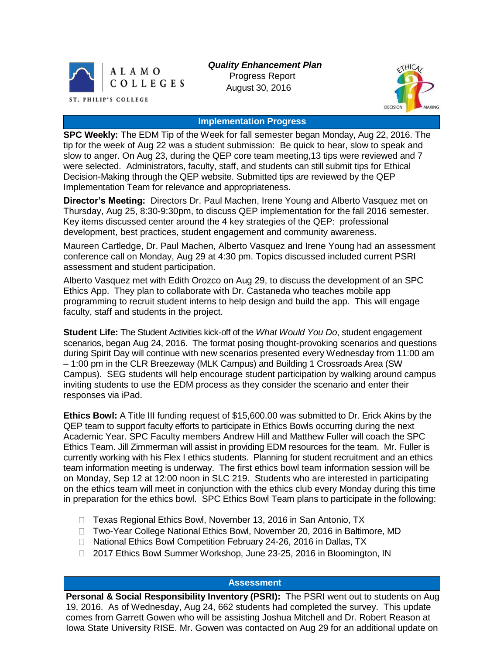

*Quality Enhancement Plan* Progress Report August 30, 2016



#### **Implementation Progress**

**SPC Weekly:** The EDM Tip of the Week for fall semester began Monday, Aug 22, 2016. The tip for the week of Aug 22 was a student submission: Be quick to hear, slow to speak and slow to anger. On Aug 23, during the QEP core team meeting,13 tips were reviewed and 7 were selected. Administrators, faculty, staff, and students can still submit tips for Ethical Decision-Making through the QEP website. Submitted tips are reviewed by the QEP Implementation Team for relevance and appropriateness.

**Director's Meeting:** Directors Dr. Paul Machen, Irene Young and Alberto Vasquez met on Thursday, Aug 25, 8:30-9:30pm, to discuss QEP implementation for the fall 2016 semester. Key items discussed center around the 4 key strategies of the QEP: professional development, best practices, student engagement and community awareness.

Maureen Cartledge, Dr. Paul Machen, Alberto Vasquez and Irene Young had an assessment conference call on Monday, Aug 29 at 4:30 pm. Topics discussed included current PSRI assessment and student participation.

Alberto Vasquez met with Edith Orozco on Aug 29, to discuss the development of an SPC Ethics App. They plan to collaborate with Dr. Castaneda who teaches mobile app programming to recruit student interns to help design and build the app. This will engage faculty, staff and students in the project.

**Student Life:** The Student Activities kick-off of the *What Would You Do*, student engagement scenarios, began Aug 24, 2016. The format posing thought-provoking scenarios and questions during Spirit Day will continue with new scenarios presented every Wednesday from 11:00 am – 1:00 pm in the CLR Breezeway (MLK Campus) and Building 1 Crossroads Area (SW Campus). SEG students will help encourage student participation by walking around campus inviting students to use the EDM process as they consider the scenario and enter their responses via iPad.

**Ethics Bowl:** A Title III funding request of \$15,600.00 was submitted to Dr. Erick Akins by the QEP team to support faculty efforts to participate in Ethics Bowls occurring during the next Academic Year. SPC Faculty members Andrew Hill and Matthew Fuller will coach the SPC Ethics Team. Jill Zimmerman will assist in providing EDM resources for the team. Mr. Fuller is currently working with his Flex I ethics students. Planning for student recruitment and an ethics team information meeting is underway. The first ethics bowl team information session will be on Monday, Sep 12 at 12:00 noon in SLC 219. Students who are interested in participating on the ethics team will meet in conjunction with the ethics club every Monday during this time in preparation for the ethics bowl. SPC Ethics Bowl Team plans to participate in the following:

- □ Texas Regional Ethics Bowl, November 13, 2016 in San Antonio, TX
- □ Two-Year College National Ethics Bowl, November 20, 2016 in Baltimore, MD
- □ National Ethics Bowl Competition February 24-26, 2016 in Dallas, TX
- □ 2017 Ethics Bowl Summer Workshop, June 23-25, 2016 in Bloomington, IN

## **Assessment**

**Personal & Social Responsibility Inventory (PSRI):** The PSRI went out to students on Aug 19, 2016. As of Wednesday, Aug 24, 662 students had completed the survey. This update comes from Garrett Gowen who will be assisting Joshua Mitchell and Dr. Robert Reason at Iowa State University RISE. Mr. Gowen was contacted on Aug 29 for an additional update on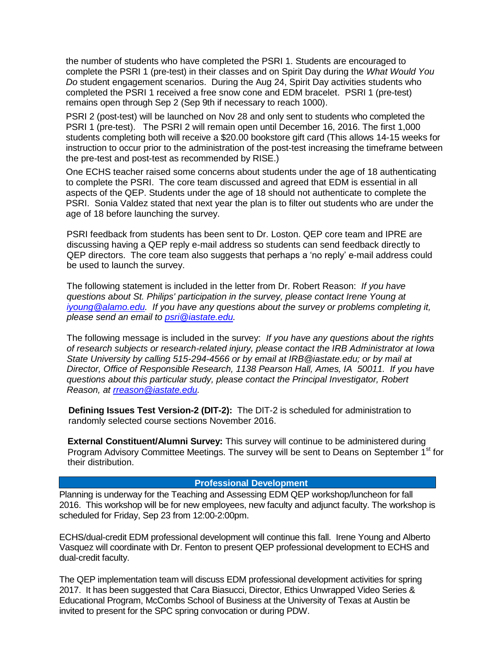the number of students who have completed the PSRI 1. Students are encouraged to complete the PSRI 1 (pre-test) in their classes and on Spirit Day during the *What Would You Do* student engagement scenarios. During the Aug 24, Spirit Day activities students who completed the PSRI 1 received a free snow cone and EDM bracelet. PSRI 1 (pre-test) remains open through Sep 2 (Sep 9th if necessary to reach 1000).

PSRI 2 (post-test) will be launched on Nov 28 and only sent to students who completed the PSRI 1 (pre-test). The PSRI 2 will remain open until December 16, 2016. The first 1,000 students completing both will receive a \$20.00 bookstore gift card (This allows 14-15 weeks for instruction to occur prior to the administration of the post-test increasing the timeframe between the pre-test and post-test as recommended by RISE.)

One ECHS teacher raised some concerns about students under the age of 18 authenticating to complete the PSRI. The core team discussed and agreed that EDM is essential in all aspects of the QEP. Students under the age of 18 should not authenticate to complete the PSRI. Sonia Valdez stated that next year the plan is to filter out students who are under the age of 18 before launching the survey.

PSRI feedback from students has been sent to Dr. Loston. QEP core team and IPRE are discussing having a QEP reply e-mail address so students can send feedback directly to QEP directors. The core team also suggests that perhaps a 'no reply' e-mail address could be used to launch the survey.

The following statement is included in the letter from Dr. Robert Reason: *If you have questions about St. Philips' participation in the survey, please contact Irene Young at [iyoung@alamo.edu.](file://///SPCS3/Home$/jzimmerman/Downloads/iyoung@alamo.edu) If you have any questions about the survey or problems completing it, please send an email to [psri@iastate.edu.](https://mail.alamo.edu/owa/redir.aspx?C=Ctb0aqZl7nzZrqQRaG-5tqT_Zo6MnscI-9y_aQ8sVRnJY7BpUdDTCA..&URL=mailto%3apsri%40iastate.edu)* 

The following message is included in the survey: *If you have any questions about the rights of research subjects or research-related injury, please contact the IRB Administrator at Iowa State University by calling 515-294-4566 or by email at IRB@iastate.edu; or by mail at Director, Office of Responsible Research, 1138 Pearson Hall, Ames, IA 50011. If you have questions about this particular study, please contact the Principal Investigator, Robert Reason, at [rreason@iastate.edu.](mailto:rreason@iastate.edu)*

**Defining Issues Test Version-2 (DIT-2):** The DIT-2 is scheduled for administration to randomly selected course sections November 2016.

**External Constituent/Alumni Survey:** This survey will continue to be administered during Program Advisory Committee Meetings. The survey will be sent to Deans on September 1<sup>st</sup> for their distribution.

#### **Professional Development**

Planning is underway for the Teaching and Assessing EDM QEP workshop/luncheon for fall 2016. This workshop will be for new employees, new faculty and adjunct faculty. The workshop is scheduled for Friday, Sep 23 from 12:00-2:00pm.

ECHS/dual-credit EDM professional development will continue this fall. Irene Young and Alberto Vasquez will coordinate with Dr. Fenton to present QEP professional development to ECHS and dual-credit faculty.

The QEP implementation team will discuss EDM professional development activities for spring 2017. It has been suggested that Cara Biasucci, Director, Ethics Unwrapped Video Series & Educational Program, McCombs School of Business at the University of Texas at Austin be invited to present for the SPC spring convocation or during PDW.